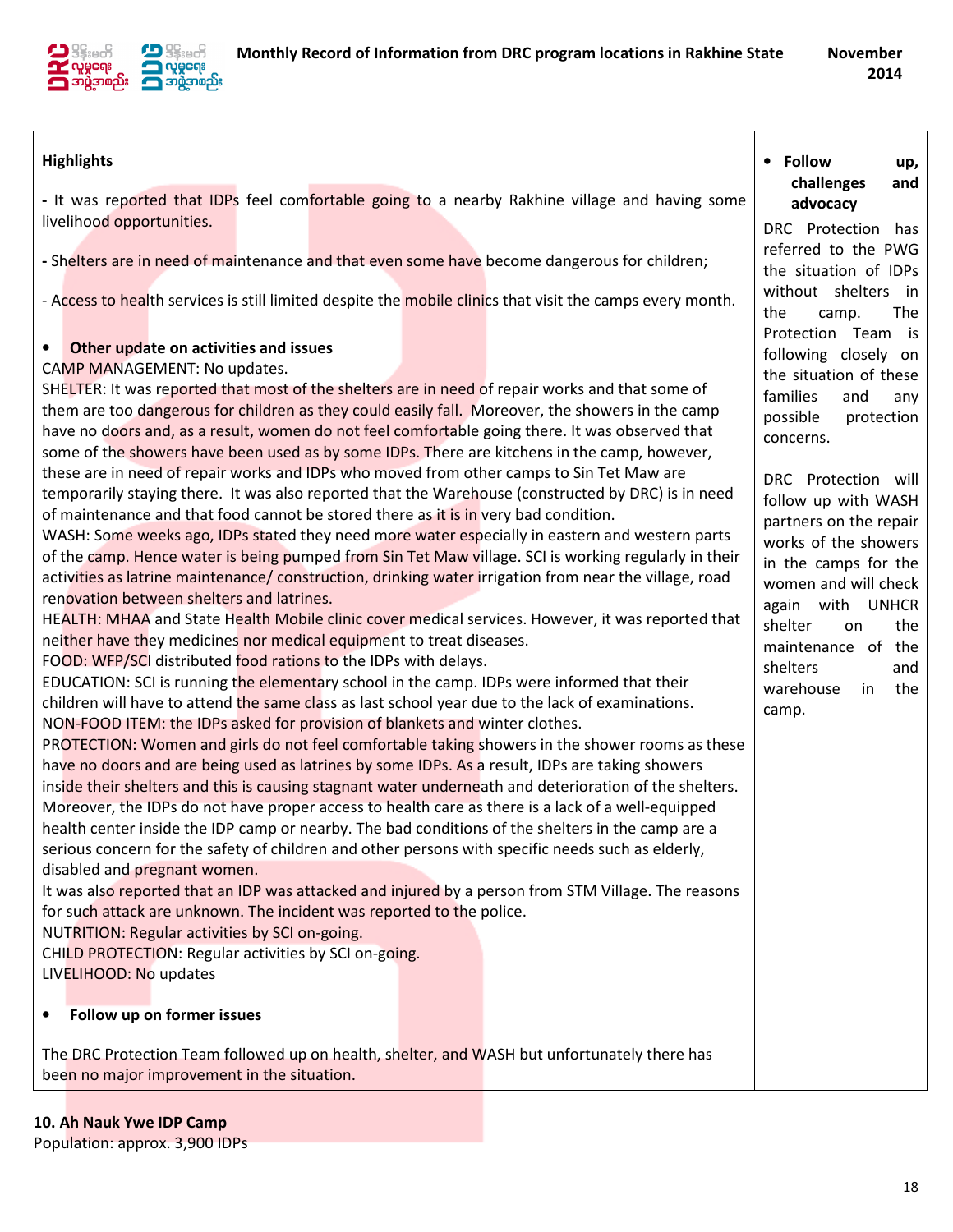

| <b>Highlights</b>                                                                                                                                                                                                                                                                                                                                                                                                                                                                                                                                                                                                                                                                                                                                                                                                                                                                                                                                                                                                                                                                                                                                                                                                                                                                                                                                                                                                                                                                                                                                                                                                                                                                                                                                                                                                                                                                                                                                                                                                                                                                                                                                                           | • Follow<br>up,<br>challenges<br>and                                                                                                                                                                                                                                 |
|-----------------------------------------------------------------------------------------------------------------------------------------------------------------------------------------------------------------------------------------------------------------------------------------------------------------------------------------------------------------------------------------------------------------------------------------------------------------------------------------------------------------------------------------------------------------------------------------------------------------------------------------------------------------------------------------------------------------------------------------------------------------------------------------------------------------------------------------------------------------------------------------------------------------------------------------------------------------------------------------------------------------------------------------------------------------------------------------------------------------------------------------------------------------------------------------------------------------------------------------------------------------------------------------------------------------------------------------------------------------------------------------------------------------------------------------------------------------------------------------------------------------------------------------------------------------------------------------------------------------------------------------------------------------------------------------------------------------------------------------------------------------------------------------------------------------------------------------------------------------------------------------------------------------------------------------------------------------------------------------------------------------------------------------------------------------------------------------------------------------------------------------------------------------------------|----------------------------------------------------------------------------------------------------------------------------------------------------------------------------------------------------------------------------------------------------------------------|
| - It was reported that IDPs feel comfortable going to a nearby Rakhine village and having some                                                                                                                                                                                                                                                                                                                                                                                                                                                                                                                                                                                                                                                                                                                                                                                                                                                                                                                                                                                                                                                                                                                                                                                                                                                                                                                                                                                                                                                                                                                                                                                                                                                                                                                                                                                                                                                                                                                                                                                                                                                                              | advocacy                                                                                                                                                                                                                                                             |
| livelihood opportunities.<br>- Shelters are in need of maintenance and that even some have become dangerous for children;                                                                                                                                                                                                                                                                                                                                                                                                                                                                                                                                                                                                                                                                                                                                                                                                                                                                                                                                                                                                                                                                                                                                                                                                                                                                                                                                                                                                                                                                                                                                                                                                                                                                                                                                                                                                                                                                                                                                                                                                                                                   | DRC Protection has<br>referred to the PWG<br>the situation of IDPs                                                                                                                                                                                                   |
| - Access to health services is still limited despite the mobile clinics that visit the camps every month.                                                                                                                                                                                                                                                                                                                                                                                                                                                                                                                                                                                                                                                                                                                                                                                                                                                                                                                                                                                                                                                                                                                                                                                                                                                                                                                                                                                                                                                                                                                                                                                                                                                                                                                                                                                                                                                                                                                                                                                                                                                                   | without shelters in<br>the<br>The<br>camp.<br>Protection Team is                                                                                                                                                                                                     |
| Other update on activities and issues<br>CAMP MANAGEMENT: No updates.                                                                                                                                                                                                                                                                                                                                                                                                                                                                                                                                                                                                                                                                                                                                                                                                                                                                                                                                                                                                                                                                                                                                                                                                                                                                                                                                                                                                                                                                                                                                                                                                                                                                                                                                                                                                                                                                                                                                                                                                                                                                                                       | following closely on<br>the situation of these                                                                                                                                                                                                                       |
| SHELTER: It was reported that most of the shelters are in need of repair works and that some of<br>them are too dangerous for children as they could easily fall. Moreover, the showers in the camp<br>have no doors and, as a result, women do not feel comfortable going there. It was observed that<br>some of the showers have been used as by some IDPs. There are kitchens in the camp, however,                                                                                                                                                                                                                                                                                                                                                                                                                                                                                                                                                                                                                                                                                                                                                                                                                                                                                                                                                                                                                                                                                                                                                                                                                                                                                                                                                                                                                                                                                                                                                                                                                                                                                                                                                                      | families<br>and<br>any<br>possible<br>protection<br>concerns.                                                                                                                                                                                                        |
| these are in need of repair works and IDPs who moved from other camps to Sin Tet Maw are<br>temporarily staying there. It was also reported that the Warehouse (constructed by DRC) is in need<br>of maintenance and that food cannot be stored there as it is in very bad condition.<br>WASH: Some weeks ago, IDPs stated they need more water especially in eastern and western parts<br>of the camp. Hence water is being pumped from Sin Tet Maw village. SCI is working regularly in their<br>activities as latrine maintenance/ construction, drinking water irrigation from near the village, road<br>renovation between shelters and latrines.<br>HEALTH: MHAA and State Health Mobile clinic cover medical services. However, it was reported that<br>neither have they medicines nor medical equipment to treat diseases.<br>FOOD: WFP/SCI distributed food rations to the IDPs with delays.<br>EDUCATION: SCI is running the elementary school in the camp. IDPs were informed that their<br>children will have to attend the same class as last school year due to the lack of examinations.<br>NON-FOOD ITEM: the IDPs asked for provision of blankets and winter clothes.<br>PROTECTION: Women and girls do not feel comfortable taking showers in the shower rooms as these<br>have no doors and are being used as latrines by some IDPs. As a result, IDPs are taking showers<br>inside their shelters and this is causing stagnant water underneath and deterioration of the shelters.<br>Moreover, the IDPs do not have proper access to health care as there is a lack of a well-equipped<br>health center inside the IDP camp or nearby. The bad conditions of the shelters in the camp are a<br>serious concern for the safety of children and other persons with specific needs such as elderly,<br>disabled and pregnant women.<br>It was also reported that an IDP was attacked and injured by a person from STM Village. The reasons<br>for such attack are unknown. The incident was reported to the police.<br>NUTRITION: Regular activities by SCI on-going.<br>CHILD PROTECTION: Regular activities by SCI on-going.<br>LIVELIHOOD: No updates | DRC Protection will<br>follow up with WASH<br>partners on the repair<br>works of the showers<br>in the camps for the<br>women and will check<br>again with UNHCR<br>shelter<br>the<br>on<br>maintenance of the<br>shelters<br>and<br>warehouse<br>the<br>in<br>camp. |
| Follow up on former issues<br>$\bullet$                                                                                                                                                                                                                                                                                                                                                                                                                                                                                                                                                                                                                                                                                                                                                                                                                                                                                                                                                                                                                                                                                                                                                                                                                                                                                                                                                                                                                                                                                                                                                                                                                                                                                                                                                                                                                                                                                                                                                                                                                                                                                                                                     |                                                                                                                                                                                                                                                                      |
|                                                                                                                                                                                                                                                                                                                                                                                                                                                                                                                                                                                                                                                                                                                                                                                                                                                                                                                                                                                                                                                                                                                                                                                                                                                                                                                                                                                                                                                                                                                                                                                                                                                                                                                                                                                                                                                                                                                                                                                                                                                                                                                                                                             |                                                                                                                                                                                                                                                                      |
| The DRC Protection Team followed up on health, shelter, and WASH but unfortunately there has<br>been no major improvement in the situation.                                                                                                                                                                                                                                                                                                                                                                                                                                                                                                                                                                                                                                                                                                                                                                                                                                                                                                                                                                                                                                                                                                                                                                                                                                                                                                                                                                                                                                                                                                                                                                                                                                                                                                                                                                                                                                                                                                                                                                                                                                 |                                                                                                                                                                                                                                                                      |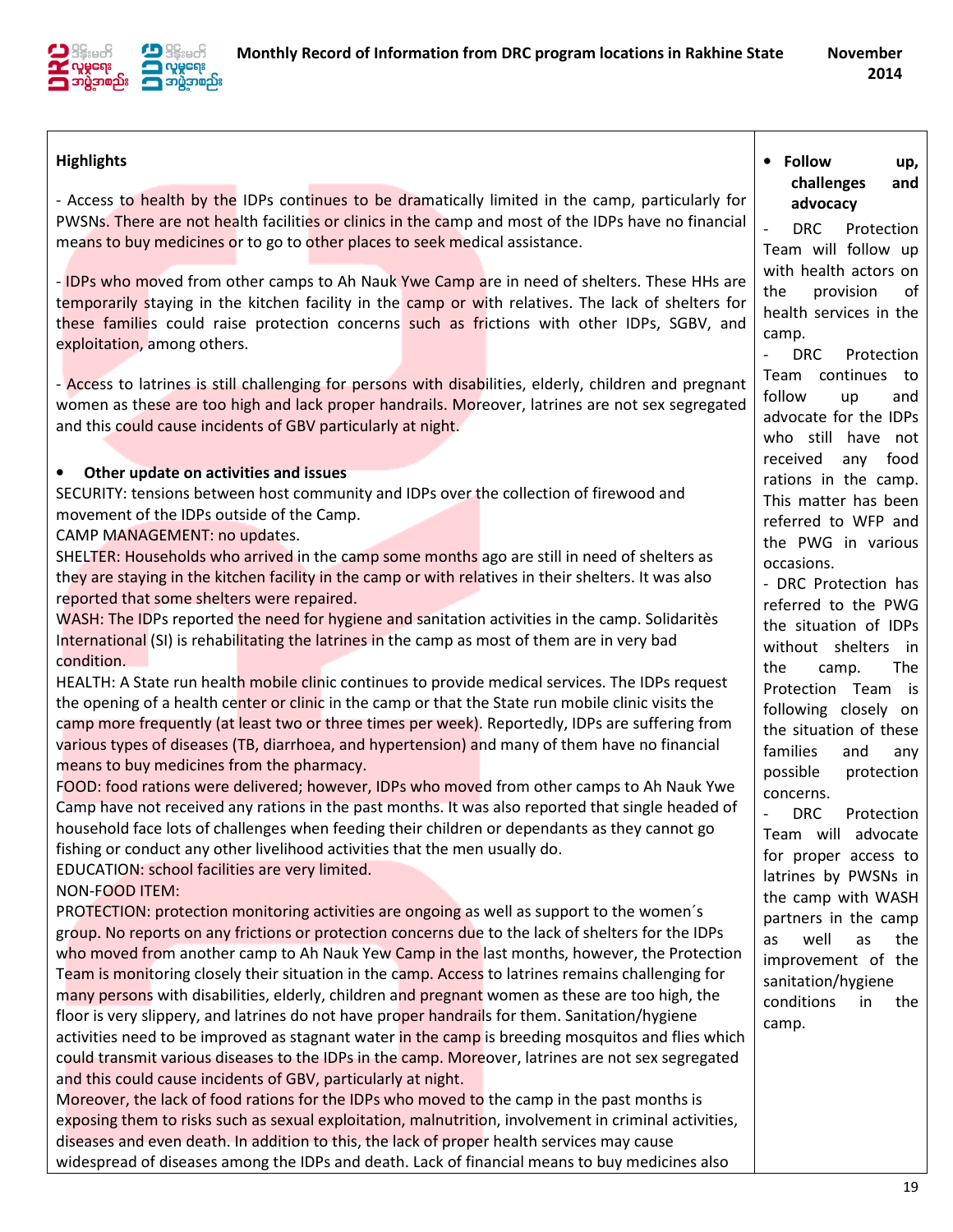

### **Highlights**

- Access to health by the IDPs continues to be dramatically limited in the camp, particularly for PWSNs. There are not health facilities or clinics in the camp and most of the IDPs have no financial means to buy medicines or to go to other places to seek medical assistance.

- IDPs who moved from other camps to Ah Nauk Ywe Camp are in need of shelters. These HHs are temporarily staying in the kitchen facility in the camp or with relatives. The lack of shelters for these families could raise protection concerns such as frictions with other IDPs, SGBV, and exploitation, among others.

- Access to latrines is still challenging for persons with disabilities, elderly, children and pregnant women as these are too high and lack proper handrails. Moreover, latrines are not sex segregated and this could cause incidents of GBV particularly at night.

#### • Other update on activities and issues

SECURITY: tensions between host community and IDPs over the collection of firewood and movement of the IDPs outside of the Camp.

CAMP MANAGEMENT: no updates.

SHELTER: Households who arrived in the camp some months ago are still in need of shelters as they are staying in the kitchen facility in the camp or with relatives in their shelters. It was also reported that some shelters were repaired.

WASH: The IDPs reported the need for hygiene and sanitation activities in the camp. Solidaritès International (SI) is rehabilitating the latrines in the camp as most of them are in very bad condition.

HEALTH: A State run health mobile clinic continues to provide medical services. The IDPs request the opening of a health center or clinic in the camp or that the State run mobile clinic visits the camp more frequently (at least two or three times per week). Reportedly, IDPs are suffering from various types of diseases (TB, diarrhoea, and hypertension) and many of them have no financial means to buy medicines from the pharmacy.

FOOD: food rations were delivered; however, IDPs who moved from other camps to Ah Nauk Ywe Camp have not received any rations in the past months. It was also reported that single headed of household face lots of challenges when feeding their children or dependants as they cannot go fishing or conduct any other livelihood activities that the men usually do.

EDUCATION: school facilities are very limited.

#### NON-FOOD ITEM:

PROTECTION: protection monitoring activities are ongoing as well as support to the women´s group. No reports on any frictions or protection concerns due to the lack of shelters for the IDPs who moved from another camp to Ah Nauk Yew Camp in the last months, however, the Protection Team is monitoring closely their situation in the camp. Access to latrines remains challenging for many persons with disabilities, elderly, children and pregnant women as these are too high, the floor is very slippery, and latrines do not have proper handrails for them. Sanitation/hygiene activities need to be improved as stagnant water in the camp is breeding mosquitos and flies which could transmit various diseases to the IDPs in the camp. Moreover, latrines are not sex segregated and this could cause incidents of GBV, particularly at night.

Moreover, the lack of food rations for the IDPs who moved to the camp in the past months is exposing them to risks such as sexual exploitation, malnutrition, involvement in criminal activities, diseases and even death. In addition to this, the lack of proper health services may cause widespread of diseases among the IDPs and death. Lack of financial means to buy medicines also

### • Follow up, challenges and advocacy

DRC Protection Team will follow up with health actors on the provision of health services in the camp.

DRC Protection Team continues to follow up and advocate for the IDPs who still have not received any food rations in the camp. This matter has been referred to WFP and the PWG in various occasions.

- DRC Protection has referred to the PWG the situation of IDPs without shelters in the camp. The Protection Team is following closely on the situation of these families and any possible protection concerns.

DRC Protection Team will advocate for proper access to latrines by PWSNs in the camp with WASH partners in the camp as well as the improvement of the sanitation/hygiene conditions in the camp.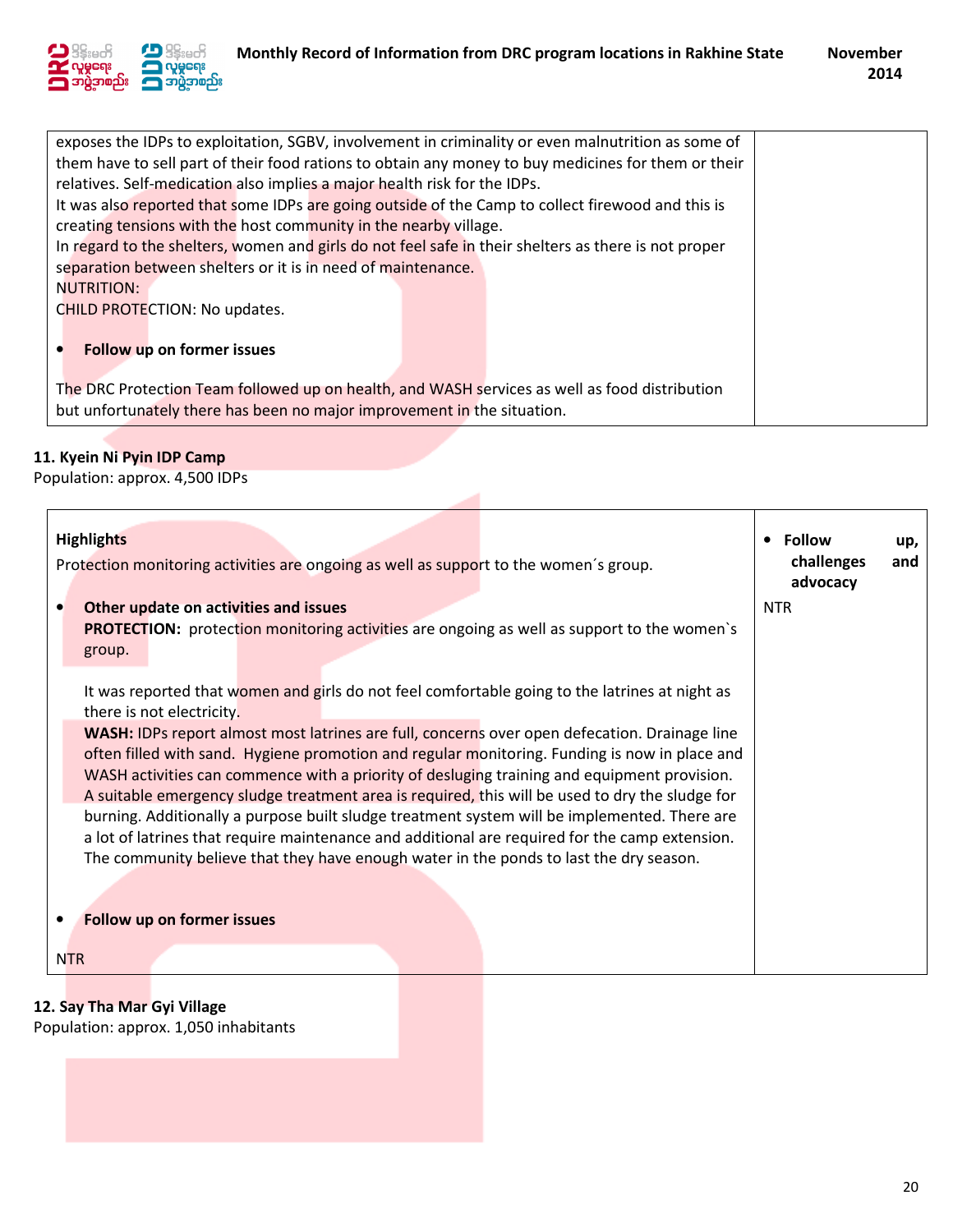

| exposes the IDPs to exploitation, SGBV, involvement in criminality or even malnutrition as some of   |
|------------------------------------------------------------------------------------------------------|
| them have to sell part of their food rations to obtain any money to buy medicines for them or their  |
| relatives. Self-medication also implies a major health risk for the IDPs.                            |
| It was also reported that some IDPs are going outside of the Camp to collect firewood and this is    |
| creating tensions with the host community in the nearby village.                                     |
| In regard to the shelters, women and girls do not feel safe in their shelters as there is not proper |
| separation between shelters or it is in need of maintenance.                                         |
| <b>NUTRITION:</b>                                                                                    |
| CHILD PROTECTION: No updates.                                                                        |
|                                                                                                      |
| Follow up on former issues                                                                           |
|                                                                                                      |
| The DRC Protection Team followed up on health, and WASH services as well as food distribution        |
| but unfortunately there has been no major improvement in the situation.                              |

# 11. Kyein Ni Pyin IDP Camp

Population: approx. 4,500 IDPs

| <b>Highlights</b><br>Protection monitoring activities are ongoing as well as support to the women's group. | • Follow<br>challenges<br>advocacy | up,<br>and |
|------------------------------------------------------------------------------------------------------------|------------------------------------|------------|
| Other update on activities and issues<br>٠                                                                 | <b>NTR</b>                         |            |
| <b>PROTECTION:</b> protection monitoring activities are ongoing as well as support to the women's          |                                    |            |
| group.                                                                                                     |                                    |            |
|                                                                                                            |                                    |            |
| It was reported that women and girls do not feel comfortable going to the latrines at night as             |                                    |            |
| there is not electricity.                                                                                  |                                    |            |
| WASH: IDPs report almost most latrines are full, concerns over open defecation. Drainage line              |                                    |            |
| often filled with sand. Hygiene promotion and regular monitoring. Funding is now in place and              |                                    |            |
| WASH activities can commence with a priority of desluging training and equipment provision.                |                                    |            |
| A suitable emergency sludge treatment area is required, this will be used to dry the sludge for            |                                    |            |
| burning. Additionally a purpose built sludge treatment system will be implemented. There are               |                                    |            |
| a lot of latrines that require maintenance and additional are required for the camp extension.             |                                    |            |
| The community believe that they have enough water in the ponds to last the dry season.                     |                                    |            |
|                                                                                                            |                                    |            |
|                                                                                                            |                                    |            |
| Follow up on former issues                                                                                 |                                    |            |
| <b>NTR</b>                                                                                                 |                                    |            |
|                                                                                                            |                                    |            |

# 12. Say Tha Mar Gyi Village

Population: approx. 1,050 inhabitants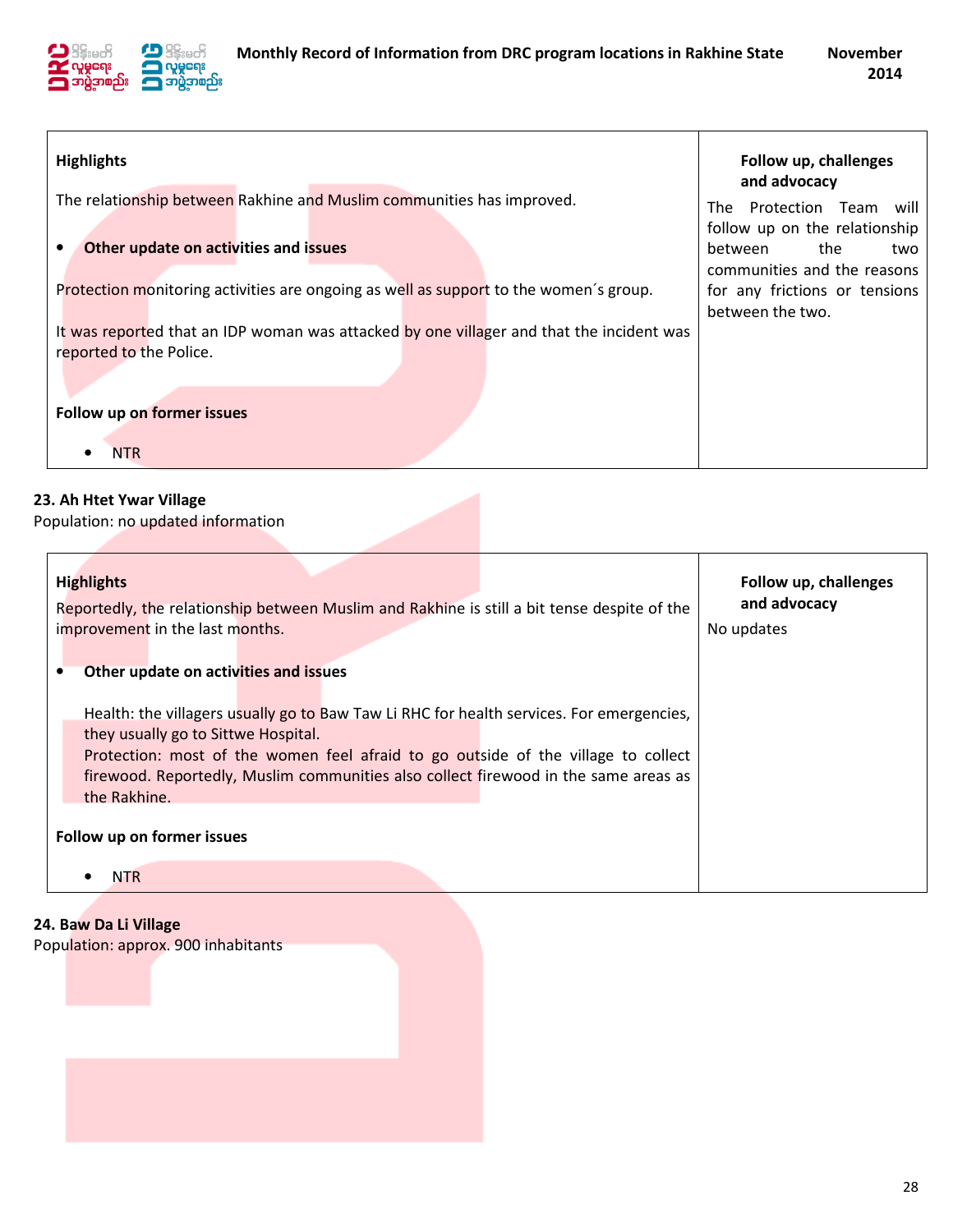

| <b>Highlights</b>                                                                        | Follow up, challenges<br>and advocacy                        |
|------------------------------------------------------------------------------------------|--------------------------------------------------------------|
| The relationship between Rakhine and Muslim communities has improved.                    | Protection Team<br>will<br>The                               |
| Other update on activities and issues                                                    | follow up on the relationship<br>between<br>the<br>two       |
| Protection monitoring activities are ongoing as well as support to the women's group.    | communities and the reasons<br>for any frictions or tensions |
|                                                                                          | between the two.                                             |
| It was reported that an IDP woman was attacked by one villager and that the incident was |                                                              |
| reported to the Police.                                                                  |                                                              |
|                                                                                          |                                                              |
| Follow up on former issues                                                               |                                                              |
| <b>NTR</b>                                                                               |                                                              |

# 23. Ah Htet Ywar Village

 $\mathbf{r}$ 

Population: no updated information

| <b>Highlights</b>                                                                           | Follow up, challenges |
|---------------------------------------------------------------------------------------------|-----------------------|
| Reportedly, the relationship between Muslim and Rakhine is still a bit tense despite of the | and advocacy          |
| improvement in the last months.                                                             | No updates            |
|                                                                                             |                       |
| Other update on activities and issues<br>٠                                                  |                       |
|                                                                                             |                       |
| Health: the villagers usually go to Baw Taw Li RHC for health services. For emergencies,    |                       |
| they usually go to Sittwe Hospital.                                                         |                       |
| Protection: most of the women feel afraid to go outside of the village to collect           |                       |
| firewood. Reportedly, Muslim communities also collect firewood in the same areas as         |                       |
| the Rakhine.                                                                                |                       |
|                                                                                             |                       |
| Follow up on former issues                                                                  |                       |
|                                                                                             |                       |
| NTR                                                                                         |                       |

24. Baw Da Li Village

Population: approx. 900 inhabitants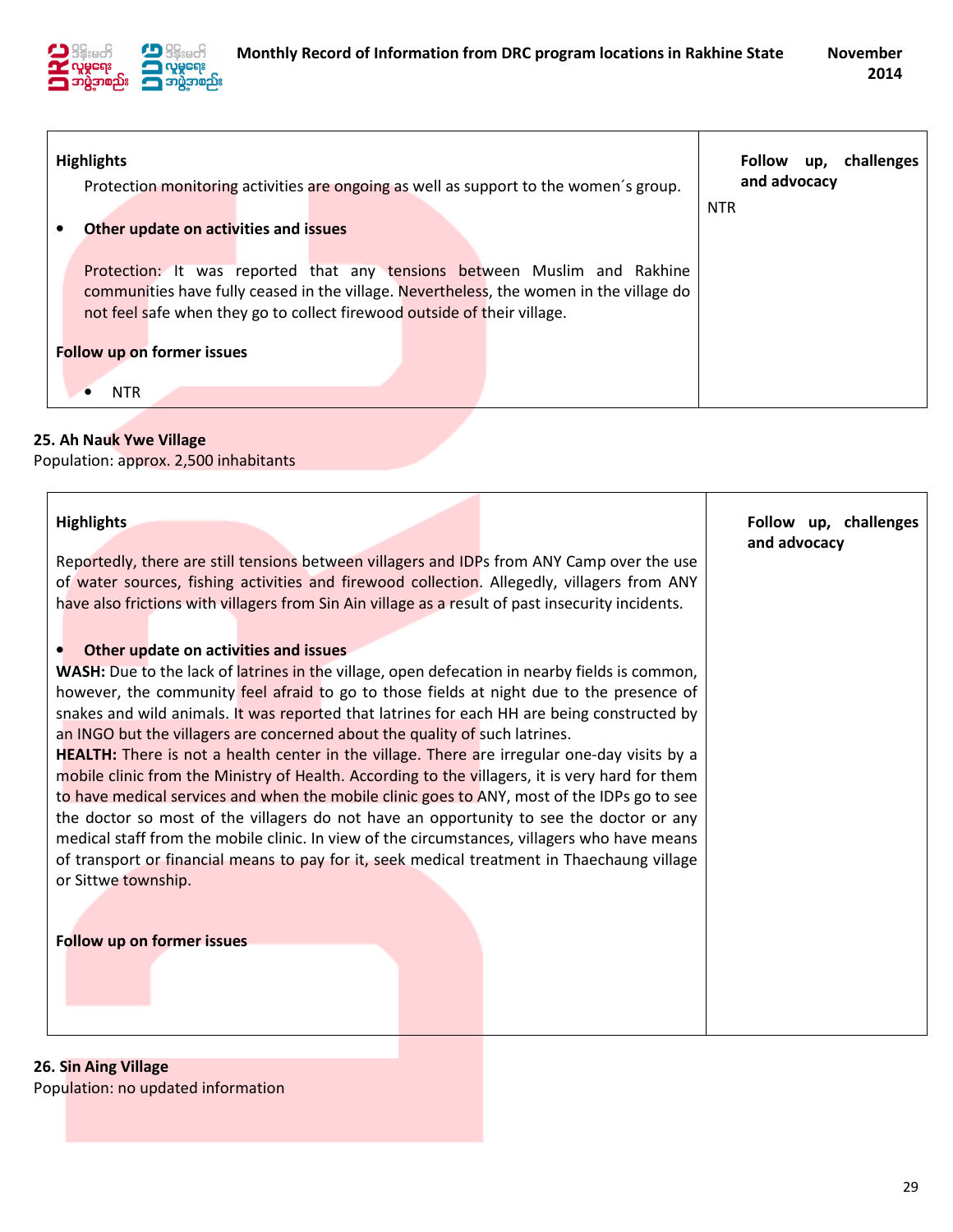

| <b>Highlights</b>                                                                                                                                                                                                                               | Follow up, challenges<br>and advocacy |
|-------------------------------------------------------------------------------------------------------------------------------------------------------------------------------------------------------------------------------------------------|---------------------------------------|
| Protection monitoring activities are ongoing as well as support to the women's group.                                                                                                                                                           | <b>NTR</b>                            |
| Other update on activities and issues                                                                                                                                                                                                           |                                       |
| Protection: It was reported that any tensions between Muslim and Rakhine<br>communities have fully ceased in the village. Nevertheless, the women in the village do<br>not feel safe when they go to collect firewood outside of their village. |                                       |
| <b>Follow up on former issues</b><br>NTR                                                                                                                                                                                                        |                                       |

# 25. Ah Nauk Ywe Village

Population: approx. 2,500 inhabitants

| <b>Highlights</b>                                                                                    | Follow up, challenges<br>and advocacy |
|------------------------------------------------------------------------------------------------------|---------------------------------------|
| Reportedly, there are still tensions between villagers and IDPs from ANY Camp over the use           |                                       |
| of water sources, fishing activities and firewood collection. Allegedly, villagers from ANY          |                                       |
| have also frictions with villagers from Sin Ain village as a result of past insecurity incidents.    |                                       |
|                                                                                                      |                                       |
| Other update on activities and issues<br>$\bullet$                                                   |                                       |
| <b>WASH:</b> Due to the lack of latrines in the village, open defecation in nearby fields is common, |                                       |
| however, the community feel afraid to go to those fields at night due to the presence of             |                                       |
| snakes and wild animals. It was reported that latrines for each HH are being constructed by          |                                       |
| an INGO but the villagers are concerned about the quality of such latrines.                          |                                       |
| HEALTH: There is not a health center in the village. There are irregular one-day visits by a         |                                       |
| mobile clinic from the Ministry of Health. According to the villagers, it is very hard for them      |                                       |
| to have medical services and when the mobile clinic goes to ANY, most of the IDPs go to see          |                                       |
| the doctor so most of the villagers do not have an opportunity to see the doctor or any              |                                       |
| medical staff from the mobile clinic. In view of the circumstances, villagers who have means         |                                       |
| of transport or financial means to pay for it, seek medical treatment in Thaechaung village          |                                       |
| or Sittwe township.                                                                                  |                                       |
|                                                                                                      |                                       |
| Follow up on former issues                                                                           |                                       |
|                                                                                                      |                                       |
|                                                                                                      |                                       |
|                                                                                                      |                                       |
|                                                                                                      |                                       |

# 26. Sin Aing Village

Population: no updated information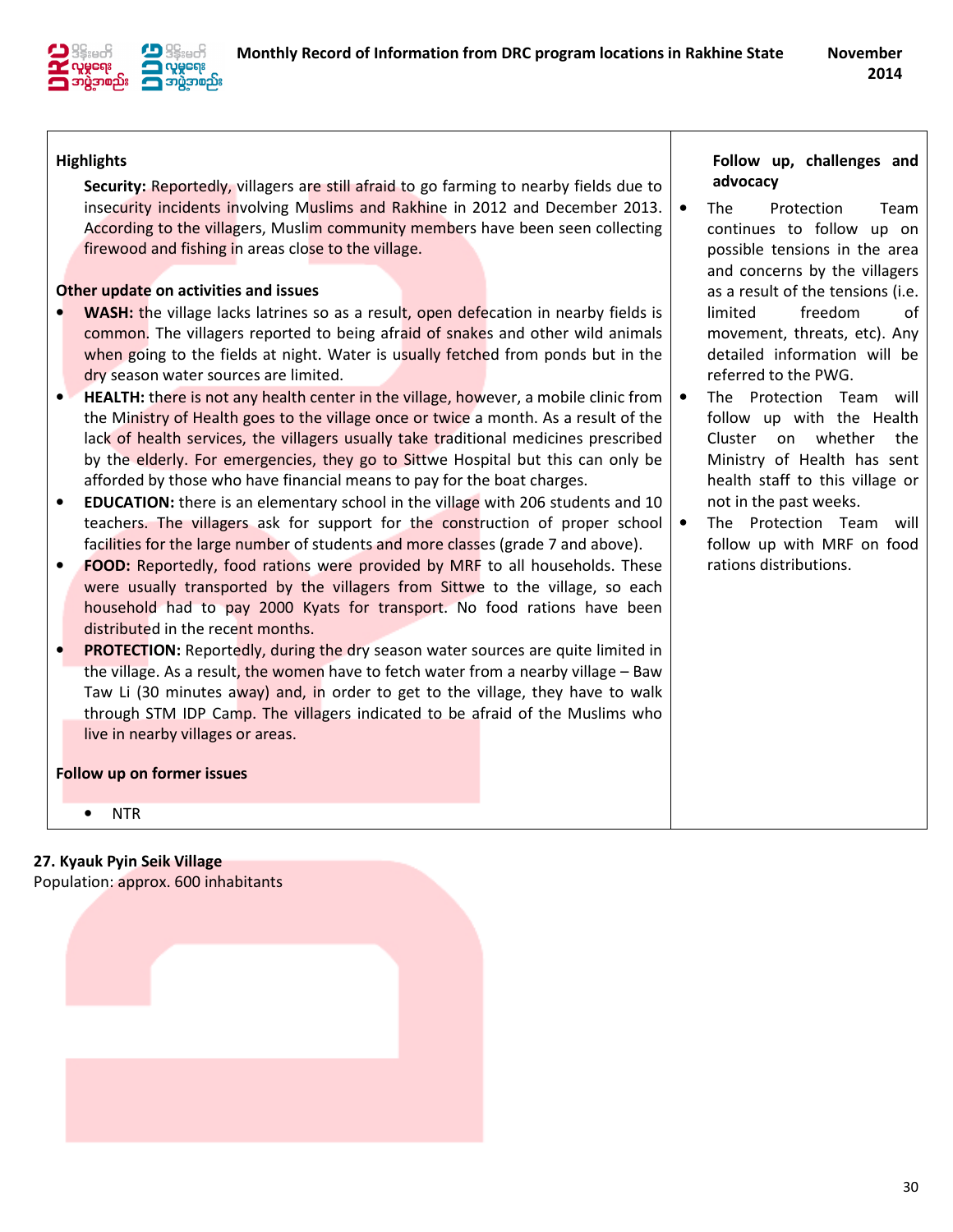

# Highlights

Security: Reportedly, villagers are still afraid to go farming to nearby fields due to insecurity incidents involving Muslims and Rakhine in 2012 and December 2013. According to the villagers, Muslim community members have been seen collecting firewood and fishing in areas close to the village.

### Other update on activities and issues

- WASH: the village lacks latrines so as a result, open defecation in nearby fields is common. The villagers reported to being afraid of snakes and other wild animals when going to the fields at night. Water is usually fetched from ponds but in the dry season water sources are limited.
- HEALTH: there is not any health center in the village, however, a mobile clinic from the Ministry of Health goes to the village once or twice a month. As a result of the lack of health services, the villagers usually take traditional medicines prescribed by the elderly. For emergencies, they go to Sittwe Hospital but this can only be afforded by those who have financial means to pay for the boat charges.
- EDUCATION: there is an elementary school in the village with 206 students and 10 teachers. The villagers ask for support for the construction of proper school facilities for the large number of students and more classes (grade 7 and above).
- **FOOD:** Reportedly, food rations were provided by MRF to all households. These were usually transported by the villagers from Sittwe to the village, so each household had to pay 2000 Kyats for transport. No food rations have been distributed in the recent months.
- PROTECTION: Reportedly, during the dry season water sources are quite limited in the village. As a result, the women have to fetch water from a nearby village  $-$  Baw Taw Li (30 minutes away) and, in order to get to the village, they have to walk through STM IDP Camp. The villagers indicated to be afraid of the Muslims who live in nearby villages or areas.

Follow up on former issues

• NTR

27. Kyauk Pyin Seik Village Population: approx. 600 inhabitants

Follow up, challenges and advocacy

- The Protection Team continues to follow up on possible tensions in the area and concerns by the villagers as a result of the tensions (i.e. limited freedom of movement, threats, etc). Any detailed information will be referred to the PWG.
- The Protection Team will follow up with the Health Cluster on whether the Ministry of Health has sent health staff to this village or not in the past weeks.
- The Protection Team will follow up with MRF on food rations distributions.